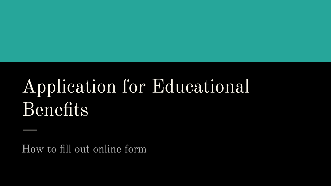# Application for Educational Benefits

How to fill out online form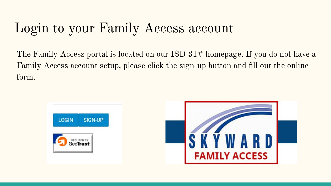#### Login to your Family Access account

The Family Access portal is located on our ISD 31# homepage. If you do not have a Family Access account setup, please click the sign-up button and fill out the online form.

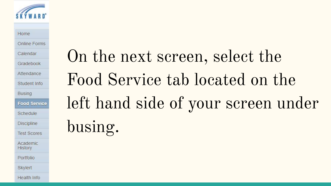

#### Home

Online Forms

Calendar

Gradebook

Attendance

Student Info

**Busing** 

**Food Service** 

Schedule

**Discipline** 

**Test Scores** 

Academic History

Portfolio

Skylert

**Health Info** 

On the next screen, select the Food Service tab located on the left hand side of your screen under busing.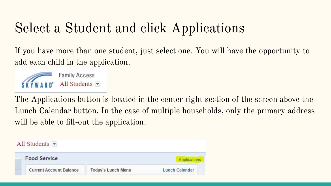### Select a Student and click Applications

If you have more than one student, just select one. You will have the opportunity to add each child in the application.



The Applications button is located in the center right section of the screen above the Lunch Calendar button. In the case of multiple households, only the primary address will be able to fill-out the application.

All Students  $\blacktriangledown$ 

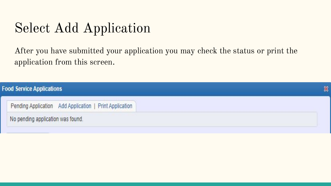#### Select Add Application

After you have submitted your application you may check the status or print the application from this screen.

| <b>Food Service Applications</b>                        | ▩ |
|---------------------------------------------------------|---|
| Pending Application Add Application   Print Application |   |
| No pending application was found.                       |   |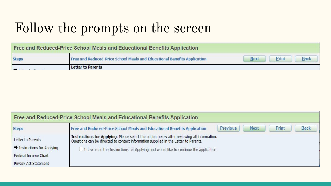#### Follow the prompts on the screen

| Free and Reduced-Price School Meals and Educational Benefits Application |                                                                          |                                     |  |  |  |  |  |
|--------------------------------------------------------------------------|--------------------------------------------------------------------------|-------------------------------------|--|--|--|--|--|
| <b>Steps</b>                                                             | Free and Reduced-Price School Meals and Educational Benefits Application | Print<br><b>Next</b><br><b>Back</b> |  |  |  |  |  |
|                                                                          | <b>Letter to Parents</b>                                                 |                                     |  |  |  |  |  |

|                           | Free and Reduced-Price School Meals and Educational Benefits Application                                                                                                          |                 |             |       |             |  |
|---------------------------|-----------------------------------------------------------------------------------------------------------------------------------------------------------------------------------|-----------------|-------------|-------|-------------|--|
| <b>Steps</b>              | Free and Reduced-Price School Meals and Educational Benefits Application                                                                                                          | <b>Previous</b> | <b>Next</b> | Print | <b>Back</b> |  |
| Letter to Parents         | Instructions for Applying. Please select the option below after reviewing all information.<br>Questions can be directed to contact information supplied in the Letter to Parents. |                 |             |       |             |  |
| Instructions for Applying | I have read the Instructions for Applying and would like to continue the application                                                                                              |                 |             |       |             |  |
| Federal Income Chart      |                                                                                                                                                                                   |                 |             |       |             |  |
| Privacy Act Statement     |                                                                                                                                                                                   |                 |             |       |             |  |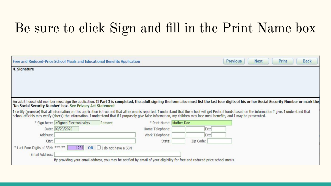#### Be sure to click Sign and fill in the Print Name box

|                                    |                                                            | Free and Reduced-Price School Meals and Educational Benefits Application                                                                                                                                                                                                                                                                                                                   |                          |           | <b>Previous</b> | <b>Next</b> | Print<br><b>Back</b> |  |
|------------------------------------|------------------------------------------------------------|--------------------------------------------------------------------------------------------------------------------------------------------------------------------------------------------------------------------------------------------------------------------------------------------------------------------------------------------------------------------------------------------|--------------------------|-----------|-----------------|-------------|----------------------|--|
| 4. Signature                       |                                                            |                                                                                                                                                                                                                                                                                                                                                                                            |                          |           |                 |             |                      |  |
|                                    |                                                            |                                                                                                                                                                                                                                                                                                                                                                                            |                          |           |                 |             |                      |  |
|                                    |                                                            |                                                                                                                                                                                                                                                                                                                                                                                            |                          |           |                 |             |                      |  |
|                                    |                                                            |                                                                                                                                                                                                                                                                                                                                                                                            |                          |           |                 |             |                      |  |
|                                    |                                                            | An adult household member must sign the application. If Part 3 is completed, the adult signing the form also must list the last four digits of his or her Social Security Number or mark the                                                                                                                                                                                               |                          |           |                 |             |                      |  |
|                                    | 'No Social Security Number' box. See Privacy Act Statement |                                                                                                                                                                                                                                                                                                                                                                                            |                          |           |                 |             |                      |  |
|                                    |                                                            | I certify (promise) that all information on this application is true and that all income is reported. I understand that the school will get Federal funds based on the information I give. I understand that<br>school officials may verify (check) the information. I understand that if I purposely give false information, my children may lose meal benefits, and I may be prosecuted. |                          |           |                 |             |                      |  |
|                                    | * Sign here: < Signed Electronically>                      | Remove                                                                                                                                                                                                                                                                                                                                                                                     | * Print Name: Mother Doe |           |                 |             |                      |  |
|                                    | Date: 09/23/2020                                           |                                                                                                                                                                                                                                                                                                                                                                                            | Home Telephone:          | Ext:      |                 |             |                      |  |
| Address:                           |                                                            |                                                                                                                                                                                                                                                                                                                                                                                            | Work Telephone:          | Ext:      |                 |             |                      |  |
| City:                              |                                                            |                                                                                                                                                                                                                                                                                                                                                                                            | State:                   | Zip Code: |                 |             |                      |  |
| * Last Four Digits of SSN: ***-**- | 1234<br>OR                                                 | $\Box$ I do not have a SSN                                                                                                                                                                                                                                                                                                                                                                 |                          |           |                 |             |                      |  |
| Email Address:                     |                                                            |                                                                                                                                                                                                                                                                                                                                                                                            |                          |           |                 |             |                      |  |
|                                    |                                                            | By providing your email address, you may be notified by email of your eligibility for free and reduced price school meals.                                                                                                                                                                                                                                                                 |                          |           |                 |             |                      |  |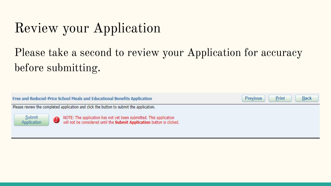## Review your Application

#### Please take a second to review your Application for accuracy before submitting.

Free and Reduced-Price School Meals and Educational Benefits Application

Please review the completed application and click the button to submit the application.

Submit Application NOTE: The application has not yet been submitted. This application<br>will not be considered until the Submit Application button is clicked.